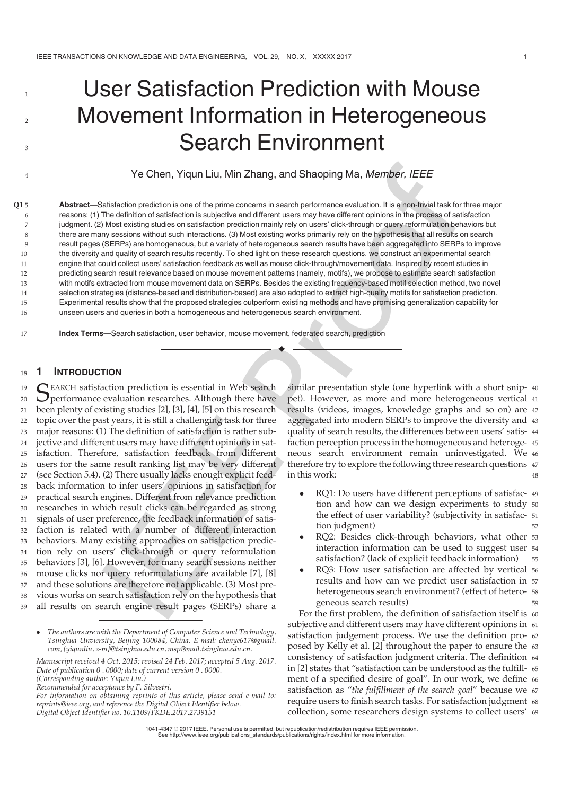# <sup>1</sup> User Satisfaction Prediction with Mouse **Movement Information in Heterogeneous Search Environment**

## <sup>4</sup> Ye Chen, Yiqun Liu, Min Zhang, and Shaoping Ma, Member, IEEE

 $\ddotmark$ 

Ye Chen, Yiqun Liu, Min Zhang, and Shaoping Ma, *Member, IEEE*<br>
aislaction prediction is one of the prime cercerars in search performance evaluation. It is a prorehival task for the difference of sales<br>task for the differ Q1 5 Abstract—Satisfaction prediction is one of the prime concerns in search performance evaluation. It is a non-trivial task for three major reasons: (1) The definition of satisfaction is subjective and different users may have different opinions in the process of satisfaction judgment. (2) Most existing studies on satisfaction prediction mainly rely on users' click-through or query reformulation behaviors but there are many sessions without such interactions. (3) Most existing works primarily rely on the hypothesis that all results on search result pages (SERPs) are homogeneous, but a variety of heterogeneous search results have been aggregated into SERPs to improve the diversity and quality of search results recently. To shed light on these research questions, we construct an experimental search engine that could collect users' satisfaction feedback as well as mouse click-through/movement data. Inspired by recent studies in predicting search result relevance based on mouse movement patterns (namely, motifs), we propose to estimate search satisfaction with motifs extracted from mouse movement data on SERPs. Besides the existing frequency-based motif selection method, two novel selection strategies (distance-based and distribution-based) are also adopted to extract high-quality motifs for satisfaction prediction. Experimental results show that the proposed strategies outperform existing methods and have promising generalization capability for unseen users and queries in both a homogeneous and heterogeneous search environment.

17 Index Terms—Search satisfaction, user behavior, mouse movement, federated search, prediction

## 18 1 **INTRODUCTION**

<sup>19</sup>  $\sum$  EARCH satisfaction prediction is essential in Web search<br><sup>20</sup> Deen plenty of existing studies [2], [3], [4], [5] on this research  $\bigcup$  performance evaluation researches. Although there have been plenty of existing studies [2], [3], [4], [5] on this research topic over the past years, it is still a challenging task for three major reasons: (1) The definition of satisfaction is rather sub- jective and different users may have different opinions in sat- isfaction. Therefore, satisfaction feedback from different users for the same result ranking list may be very different (see Section 5.4). (2) There usually lacks enough explicit feed- back information to infer users' opinions in satisfaction for practical search engines. Different from relevance prediction researches in which result clicks can be regarded as strong signals of user preference, the feedback information of satis- faction is related with a number of different interaction behaviors. Many existing approaches on satisfaction predic- tion rely on users' click-through or query reformulation behaviors [3], [6]. However, for many search sessions neither mouse clicks nor query reformulations are available [7], [8] and these solutions are therefore not applicable. (3) Most pre- vious works on search satisfaction rely on the hypothesis that all results on search engine result pages (SERPs) share a

For information on obtaining reprints of this article, please send e-mail to: reprints@ieee.org, and reference the Digital Object Identifier below. Digital Object Identifier no. 10.1109/TKDE.2017.2739151

similar presentation style (one hyperlink with a short snip- 40 pet). However, as more and more heterogeneous vertical 41 results (videos, images, knowledge graphs and so on) are 42 aggregated into modern SERPs to improve the diversity and 43 quality of search results, the differences between users' satis- 44 faction perception process in the homogeneous and heteroge- 45 neous search environment remain uninvestigated. We 46 therefore try to explore the following three research questions 47 in this work: 48

- RQ1: Do users have different perceptions of satisfac- 49 tion and how can we design experiments to study 50 the effect of user variability? (subjectivity in satisfac- 51 tion judgment) 52
- RQ2: Besides click-through behaviors, what other 53 interaction information can be used to suggest user 54 satisfaction? (lack of explicit feedback information) 55
- RO3: How user satisfaction are affected by vertical  $56$ results and how can we predict user satisfaction in 57 heterogeneous search environment? (effect of hetero- 58 geneous search results) 59

For the first problem, the definition of satisfaction itself is 60 subjective and different users may have different opinions in 61 satisfaction judgement process. We use the definition pro- 62 posed by Kelly et al. [2] throughout the paper to ensure the 63 consistency of satisfaction judgment criteria. The definition 64 in [2] states that "satisfaction can be understood as the fulfill- 65 ment of a specified desire of goal". In our work, we define 66 satisfaction as "the fulfillment of the search goal" because we 67 require users to finish search tasks. For satisfaction judgment 68 collection, some researchers design systems to collect users' 69

1041-4347 © 2017 IEEE. Personal use is permitted, but republication/redistribution requires IEEE permission.<br>See http://www.ieee.org/publications\_standards/publications/rights/index.html for more information.

The authors are with the Department of Computer Science and Technology, Tsinghua Unviersity, Beijing 100084, China. E-mail: chenye617@gmail. com, {yiqunliu, z-m}@tsinghua.edu.cn, msp@mail.tsinghua.edu.cn.

Manuscript received 4 Oct. 2015; revised 24 Feb. 2017; accepted 5 Aug. 2017. Date of publication 0 . 0000; date of current version 0 . 0000. (Corresponding author: Yiqun Liu.) Recommended for acceptance by F. Silvestri.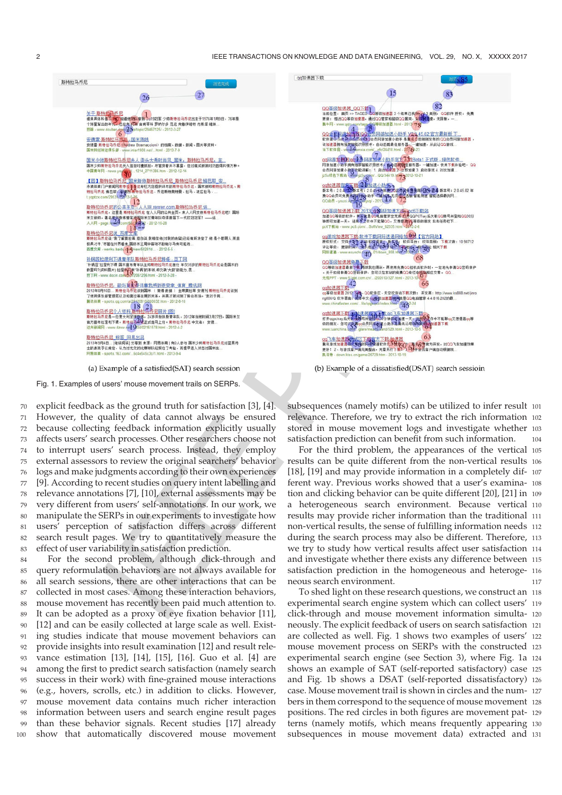#### 2 IEEE TRANSACTIONS ON KNOWLEDGE AND DATA ENGINEERING, VOL. 29, NO. X, XXXXX 2017



Fig. 1. Examples of users' mouse movement trails on SERPs.

 explicit feedback as the ground truth for satisfaction [3], [4]. However, the quality of data cannot always be ensured because collecting feedback information explicitly usually affects users' search processes. Other researchers choose not to interrupt users' search process. Instead, they employ external assessors to review the original searchers' behavior logs and make judgments according to their own experiences [9]. According to recent studies on query intent labelling and relevance annotations [7], [10], external assessments may be very different from users' self-annotations. In our work, we manipulate the SERPs in our experiments to investigate how users' perception of satisfaction differs across different search result pages. We try to quantitatively measure the effect of user variability in satisfaction prediction.

 For the second problem, although click-through and query reformulation behaviors are not always available for all search sessions, there are other interactions that can be collected in most cases. Among these interaction behaviors, mouse movement has recently been paid much attention to. It can be adopted as a proxy of eye fixation behavior [11], [12] and can be easily collected at large scale as well. Exist- ing studies indicate that mouse movement behaviors can provide insights into result examination [12] and result rele- vance estimation [13], [14], [15], [16]. Guo et al. [4] are among the first to predict search satisfaction (namely search success in their work) with fine-grained mouse interactions (e.g., hovers, scrolls, etc.) in addition to clicks. However, mouse movement data contains much richer interaction information between users and search engine result pages than these behavior signals. Recent studies [17] already show that automatically discovered mouse movement



subsequences (namely motifs) can be utilized to infer result 101 relevance. Therefore, we try to extract the rich information 102 stored in mouse movement logs and investigate whether 103 satisfaction prediction can benefit from such information.

For the third problem, the appearances of the vertical 105 results can be quite different from the non-vertical results 106 [18], [19] and may provide information in a completely dif- 107 ferent way. Previous works showed that a user's examina- 108 tion and clicking behavior can be quite different [20], [21] in 109 a heterogeneous search environment. Because vertical 110 results may provide richer information than the traditional 111 non-vertical results, the sense of fulfilling information needs 112 during the search process may also be different. Therefore, 113 we try to study how vertical results affect user satisfaction 114 and investigate whether there exists any difference between 115 satisfaction prediction in the homogeneous and heteroge- 116 neous search environment. 117

To shed light on these research questions, we construct an 118 experimental search engine system which can collect users' 119 click-through and mouse movement information simulta- 120 neously. The explicit feedback of users on search satisfaction 121 are collected as well. Fig. 1 shows two examples of users' 122 mouse movement process on SERPs with the constructed 123 experimental search engine (see Section 3), where Fig. 1a 124 shows an example of SAT (self-reported satisfactory) case 125 and Fig. 1b shows a DSAT (self-reported dissatisfactory) 126 case. Mouse movement trail is shown in circles and the num- 127 bers in them correspond to the sequence of mouse movement 128 positions. The red circles in both figures are movement pat- 129 terns (namely motifs, which means frequently appearing 130 subsequences in mouse movement data) extracted and 131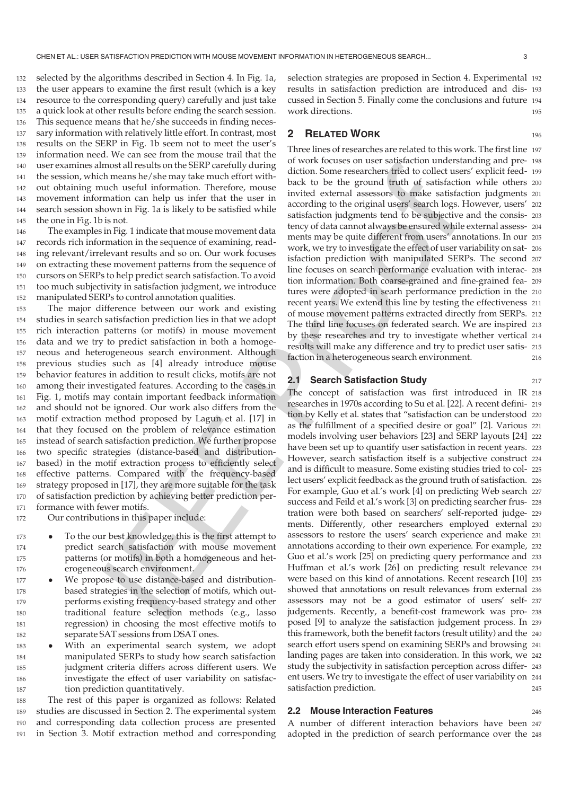selected by the algorithms described in Section 4. In Fig. 1a, the user appears to examine the first result (which is a key resource to the corresponding query) carefully and just take a quick look at other results before ending the search session. This sequence means that he/she succeeds in finding neces- sary information with relatively little effort. In contrast, most results on the SERP in Fig. 1b seem not to meet the user's information need. We can see from the mouse trail that the user examines almost all results on the SERP carefully during the session, which means he/she may take much effort with- out obtaining much useful information. Therefore, mouse movement information can help us infer that the user in search session shown in Fig. 1a is likely to be satisfied while the one in Fig. 1b is not.

 The examples in Fig. 1 indicate that mouse movement data records rich information in the sequence of examining, read- ing relevant/irrelevant results and so on. Our work focuses on extracting these movement patterns from the sequence of cursors on SERPs to help predict search satisfaction. To avoid too much subjectivity in satisfaction judgment, we introduce manipulated SERPs to control annotation qualities.

 The major difference between our work and existing studies in search satisfaction prediction lies in that we adopt rich interaction patterns (or motifs) in mouse movement data and we try to predict satisfaction in both a homoge- neous and heterogeneous search environment. Although previous studies such as [4] already introduce mouse behavior features in addition to result clicks, motifs are not among their investigated features. According to the cases in Fig. 1, motifs may contain important feedback information and should not be ignored. Our work also differs from the motif extraction method proposed by Lagun et al. [17] in that they focused on the problem of relevance estimation instead of search satisfaction prediction. We further propose two specific strategies (distance-based and distribution- based) in the motif extraction process to efficiently select effective patterns. Compared with the frequency-based strategy proposed in [17], they are more suitable for the task of satisfaction prediction by achieving better prediction per-formance with fewer motifs.

172 Our contributions in this paper include:

- 173 To the our best knowledge, this is the first attempt to 174 predict search satisfaction with mouse movement 175 patterns (or motifs) in both a homogeneous and het-176 erogeneous search environment.
- 177 We propose to use distance-based and distribution-178 based strategies in the selection of motifs, which out-179 performs existing frequency-based strategy and other 180 traditional feature selection methods (e.g., lasso 181 regression) in choosing the most effective motifs to 182 separate SAT sessions from DSAT ones.
- <sup>183</sup> ! With an experimental search system, we adopt manipulated SERPs to study how search satisfaction 185 judgment criteria differs across different users. We 186 investigate the effect of user variability on satisfac-187 tion prediction quantitatively.

 The rest of this paper is organized as follows: Related studies are discussed in Section 2. The experimental system and corresponding data collection process are presented in Section 3. Motif extraction method and corresponding selection strategies are proposed in Section 4. Experimental 192 results in satisfaction prediction are introduced and dis- 193 cussed in Section 5. Finally come the conclusions and future 194 work directions. 195

## **2 RELATED WORK 196**

Three lines of researches are related to this work. The first line 197 of work focuses on user satisfaction understanding and pre- 198 diction. Some researchers tried to collect users' explicit feed- 199 back to be the ground truth of satisfaction while others 200 invited external assessors to make satisfaction judgments 201 according to the original users' search logs. However, users' 202 satisfaction judgments tend to be subjective and the consis- 203 tency of data cannot always be ensured while external assess- 204 ments may be quite different from users' annotations. In our 205 work, we try to investigate the effect of user variability on sat- 206 isfaction prediction with manipulated SERPs. The second 207 line focuses on search performance evaluation with interac- 208 tion information. Both coarse-grained and fine-grained fea- 209 tures were adopted in searh performance prediction in the 210 recent years. We extend this line by testing the effectiveness 211 of mouse movement patterns extracted directly from SERPs. 212 The third line focuses on federated search. We are inspired 213 by these researches and try to investigate whether vertical 214 results will make any difference and try to predict user satis- 215 faction in a heterogeneous search environment. 216

## **2.1 Search Satisfaction Study** 217

most all results on the SERP carefully during to work occess on the two states and the most all results and the most be the most be the proof with the most be a coordinate most be a coordinate most be a state of the most s The concept of satisfaction was first introduced in IR 218 researches in 1970s according to Su et al. [22]. A recent defini- 219 tion by Kelly et al. states that "satisfaction can be understood 220 as the fulfillment of a specified desire or goal" [2]. Various 221 models involving user behaviors [23] and SERP layouts [24] 222 have been set up to quantify user satisfaction in recent years. 223 However, search satisfaction itself is a subjective construct 224 and is difficult to measure. Some existing studies tried to col- 225 lect users' explicit feedback as the ground truth of satisfaction. 226 For example, Guo et al.'s work [4] on predicting Web search 227 success and Feild et al.'s work [3] on predicting searcher frus- 228 tration were both based on searchers' self-reported judge- 229 ments. Differently, other researchers employed external 230 assessors to restore the users' search experience and make 231 annotations according to their own experience. For example, 232 Guo et al.'s work [25] on predicting query performance and 233 Huffman et al.'s work [26] on predicting result relevance 234 were based on this kind of annotations. Recent research [10] 235 showed that annotations on result relevances from external 236 assessors may not be a good estimator of users' self- 237 judgements. Recently, a benefit-cost framework was pro- 238 posed [9] to analyze the satisfaction judgement process. In 239 this framework, both the benefit factors (result utility) and the 240 search effort users spend on examining SERPs and browsing 241 landing pages are taken into consideration. In this work, we 242 study the subjectivity in satisfaction perception across differ- 243 ent users. We try to investigate the effect of user variability on 244 satisfaction prediction. 245

## 2.2 Mouse Interaction Features 246

A number of different interaction behaviors have been 247 adopted in the prediction of search performance over the 248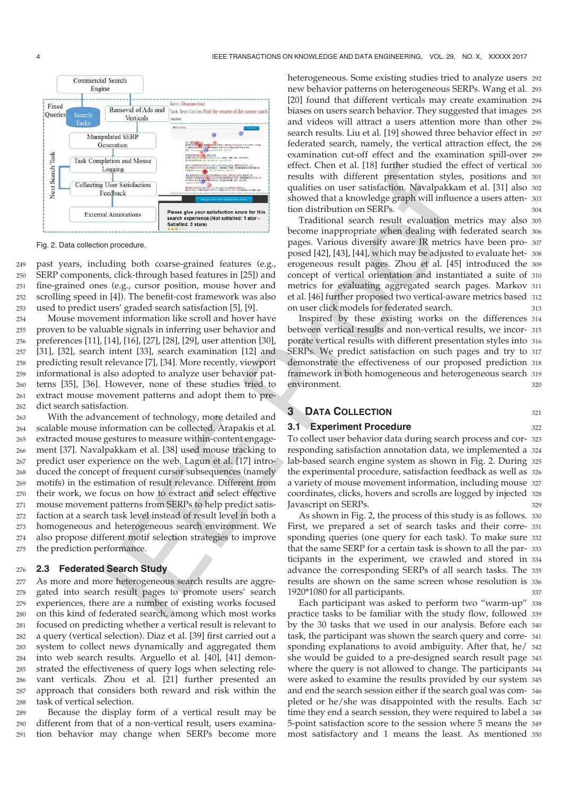

Fig. 2. Data collection procedure.

 past years, including both coarse-grained features (e.g., SERP components, click-through based features in [25]) and fine-grained ones (e.g., cursor position, mouse hover and scrolling speed in [4]). The benefit-cost framework was also used to predict users' graded search satisfaction [5], [9].

 Mouse movement information like scroll and hover have proven to be valuable signals in inferring user behavior and preferences [11], [14], [16], [27], [28], [29], user attention [30], [31], [32], search intent [33], search examination [12] and predicting result relevance [7], [34]. More recently, viewport informational is also adopted to analyze user behavior pat- terns [35], [36]. However, none of these studies tried to extract mouse movement patterns and adopt them to pre-dict search satisfaction.

Four and HS (C-C). The systems and also developes and HS (150 fourber studies) on the system and the system of the system and the system of the system of the system of the system of the system of the system of the system o With the advancement of technology, more detailed and scalable mouse information can be collected. Arapakis et al. extracted mouse gestures to measure within-content engage- ment [37]. Navalpakkam et al. [38] used mouse tracking to predict user experience on the web. Lagun et al. [17] intro- duced the concept of frequent cursor subsequences (namely motifs) in the estimation of result relevance. Different from their work, we focus on how to extract and select effective mouse movement patterns from SERPs to help predict satis- faction at a search task level instead of result level in both a homogeneous and heterogeneous search environment. We also propose different motif selection strategies to improve the prediction performance.

#### <sup>276</sup> 2.3 Federated Search Study

 As more and more heterogeneous search results are aggre- gated into search result pages to promote users' search experiences, there are a number of existing works focused on this kind of federated search, among which most works focused on predicting whether a vertical result is relevant to a query (vertical selection). Diaz et al. [39] first carried out a system to collect news dynamically and aggregated them into web search results. Arguello et al. [40], [41] demon- strated the effectiveness of query logs when selecting rele- vant verticals. Zhou et al. [21] further presented an approach that considers both reward and risk within the task of vertical selection.

289 Because the display form of a vertical result may be 290 different from that of a non-vertical result, users examina-291 tion behavior may change when SERPs become more heterogeneous. Some existing studies tried to analyze users 292 new behavior patterns on heterogeneous SERPs. Wang et al. 293 [20] found that different verticals may create examination 294 biases on users search behavior. They suggested that images 295 and videos will attract a users attention more than other 296 search results. Liu et al. [19] showed three behavior effect in 297 federated search, namely, the vertical attraction effect, the 298 examination cut-off effect and the examination spill-over 299 effect. Chen et al. [18] further studied the effect of vertical 300 results with different presentation styles, positions and 301 qualities on user satisfaction. Navalpakkam et al. [31] also 302 showed that a knowledge graph will influence a users atten- 303 tion distribution on SERPs. 304

Traditional search result evaluation metrics may also 305 become inappropriate when dealing with federated search 306 pages. Various diversity aware IR metrics have been pro- 307 posed [42], [43], [44], which may be adjusted to evaluate het- 308 erogeneous result pages. Zhou et al. [45] introduced the 309 concept of vertical orientation and instantiated a suite of 310 metrics for evaluating aggregated search pages. Markov 311 et al. [46] further proposed two vertical-aware metrics based 312 on user click models for federated search. 313

Inspired by these existing works on the differences 314 between vertical results and non-vertical results, we incor- 315 porate vertical results with different presentation styles into 316 SERPs. We predict satisfaction on such pages and try to 317 demonstrate the effectiveness of our proposed prediction 318 framework in both homogeneous and heterogeneous search 319 environment. 320

# **3** DATA COLLECTION 321

#### **3.1 Experiment Procedure** 322

To collect user behavior data during search process and cor- 323 responding satisfaction annotation data, we implemented a 324 lab-based search engine system as shown in Fig. 2. During 325 the experimental procedure, satisfaction feedback as well as 326 a variety of mouse movement information, including mouse 327 coordinates, clicks, hovers and scrolls are logged by injected 328 Javascript on SERPs. 329

As shown in Fig. 2, the process of this study is as follows. 330 First, we prepared a set of search tasks and their corre- 331 sponding queries (one query for each task). To make sure 332 that the same SERP for a certain task is shown to all the par- 333 ticipants in the experiment, we crawled and stored in 334 advance the corresponding SERPs of all search tasks. The 335 results are shown on the same screen whose resolution is 336 1920\*1080 for all participants. 337

Each participant was asked to perform two "warm-up" 338 practice tasks to be familiar with the study flow, followed 339 by the 30 tasks that we used in our analysis. Before each 340 task, the participant was shown the search query and corre- 341 sponding explanations to avoid ambiguity. After that, he/ 342 she would be guided to a pre-designed search result page 343 where the query is not allowed to change. The participants 344 were asked to examine the results provided by our system 345 and end the search session either if the search goal was com- 346 pleted or he/she was disappointed with the results. Each 347 time they end a search session, they were required to label a 348 5-point satisfaction score to the session where 5 means the 349 most satisfactory and 1 means the least. As mentioned 350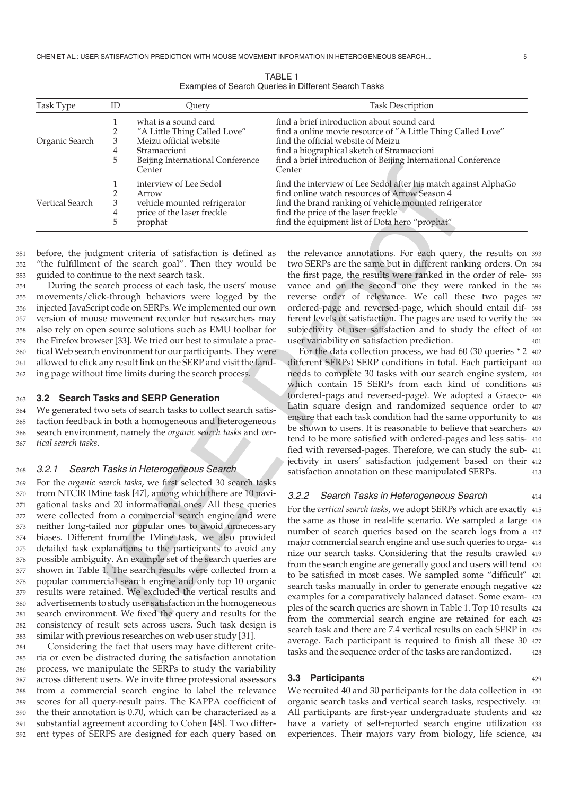CHEN ET AL.: USER SATISFACTION PREDICTION WITH MOUSE MOVEMENT INFORMATION IN HETEROGENEOUS SEARCH... 5

| Task Type                                                                                                                                                                                                                                                                                                                                                                                                                                                                                                                                                                                                                                                                                                                                                                                                                                                                                                                                                                                                                                                                                                                                    | ID                                                                                                                                | Query                                                                                                                                                                                                                                                                                                                                                                                                                                                                                                                                                                                                                                                                                                                                                              | <b>Task Description</b>                                                                                                                                                                                                                                                                                                                                                                                                                                                                                                                                                                                                                                                                                                                                                                                                                                                                                                                                                                                                                                                                                                                                                                                                                                                                                    |  |  |  |
|----------------------------------------------------------------------------------------------------------------------------------------------------------------------------------------------------------------------------------------------------------------------------------------------------------------------------------------------------------------------------------------------------------------------------------------------------------------------------------------------------------------------------------------------------------------------------------------------------------------------------------------------------------------------------------------------------------------------------------------------------------------------------------------------------------------------------------------------------------------------------------------------------------------------------------------------------------------------------------------------------------------------------------------------------------------------------------------------------------------------------------------------|-----------------------------------------------------------------------------------------------------------------------------------|--------------------------------------------------------------------------------------------------------------------------------------------------------------------------------------------------------------------------------------------------------------------------------------------------------------------------------------------------------------------------------------------------------------------------------------------------------------------------------------------------------------------------------------------------------------------------------------------------------------------------------------------------------------------------------------------------------------------------------------------------------------------|------------------------------------------------------------------------------------------------------------------------------------------------------------------------------------------------------------------------------------------------------------------------------------------------------------------------------------------------------------------------------------------------------------------------------------------------------------------------------------------------------------------------------------------------------------------------------------------------------------------------------------------------------------------------------------------------------------------------------------------------------------------------------------------------------------------------------------------------------------------------------------------------------------------------------------------------------------------------------------------------------------------------------------------------------------------------------------------------------------------------------------------------------------------------------------------------------------------------------------------------------------------------------------------------------------|--|--|--|
| Organic Search                                                                                                                                                                                                                                                                                                                                                                                                                                                                                                                                                                                                                                                                                                                                                                                                                                                                                                                                                                                                                                                                                                                               | 1<br>2<br>3<br>4<br>5                                                                                                             | what is a sound card<br>"A Little Thing Called Love"<br>Meizu official website<br>Stramaccioni<br>Beijing International Conference<br>Center                                                                                                                                                                                                                                                                                                                                                                                                                                                                                                                                                                                                                       | find a brief introduction about sound card<br>find a online movie resource of "A Little Thing Called Love"<br>find the official website of Meizu<br>find a biographical sketch of Stramaccioni<br>find a brief introduction of Beijing International Conference<br>Center                                                                                                                                                                                                                                                                                                                                                                                                                                                                                                                                                                                                                                                                                                                                                                                                                                                                                                                                                                                                                                  |  |  |  |
| Vertical Search                                                                                                                                                                                                                                                                                                                                                                                                                                                                                                                                                                                                                                                                                                                                                                                                                                                                                                                                                                                                                                                                                                                              | interview of Lee Sedol<br>1<br>2<br>Arrow<br>3<br>vehicle mounted refrigerator<br>price of the laser freckle<br>4<br>5<br>prophat |                                                                                                                                                                                                                                                                                                                                                                                                                                                                                                                                                                                                                                                                                                                                                                    | find the interview of Lee Sedol after his match against AlphaGo<br>find online watch resources of Arrow Season 4<br>find the brand ranking of vehicle mounted refrigerator<br>find the price of the laser freckle<br>find the equipment list of Dota hero "prophat"                                                                                                                                                                                                                                                                                                                                                                                                                                                                                                                                                                                                                                                                                                                                                                                                                                                                                                                                                                                                                                        |  |  |  |
| before, the judgment criteria of satisfaction is defined as<br>"the fulfillment of the search goal". Then they would be<br>guided to continue to the next search task.<br>During the search process of each task, the users' mouse<br>movements/click-through behaviors were logged by the<br>injected JavaScript code on SERPs. We implemented our own<br>version of mouse movement recorder but researchers may<br>also rely on open source solutions such as EMU toolbar for<br>the Firefox browser [33]. We tried our best to simulate a prac-<br>tical Web search environment for our participants. They were<br>allowed to click any result link on the SERP and visit the land-<br>ing page without time limits during the search process.<br><b>Search Tasks and SERP Generation</b><br>3.2<br>We generated two sets of search tasks to collect search satis-<br>faction feedback in both a homogeneous and heterogeneous<br>search environment, namely the organic search tasks and ver-<br>tical search tasks.<br>3.2.1<br>Search Tasks in Heterogeneous Search<br>For the organic search tasks, we first selected 30 search tasks |                                                                                                                                   |                                                                                                                                                                                                                                                                                                                                                                                                                                                                                                                                                                                                                                                                                                                                                                    | the relevance annotations. For each query, the results on<br>two SERPs are the same but in different ranking orders. On<br>the first page, the results were ranked in the order of rele-<br>vance and on the second one they were ranked in the<br>reverse order of relevance. We call these two pages<br>ordered-page and reversed-page, which should entail dif-<br>ferent levels of satisfaction. The pages are used to verify the<br>subjectivity of user satisfaction and to study the effect of<br>user variability on satisfaction prediction.<br>For the data collection process, we had 60 (30 queries * 2<br>different SERPs) SERP conditions in total. Each participant<br>needs to complete 30 tasks with our search engine system,<br>which contain 15 SERPs from each kind of conditions<br>(ordered-pags and reversed-page). We adopted a Graeco-<br>Latin square design and randomized sequence order to<br>ensure that each task condition had the same opportunity to<br>be shown to users. It is reasonable to believe that searchers<br>tend to be more satisfied with ordered-pages and less satis-<br>fied with reversed-pages. Therefore, we can study the sub-<br>jectivity in users' satisfaction judgement based on their<br>satisfaction annotation on these manipulated SERPs. |  |  |  |
|                                                                                                                                                                                                                                                                                                                                                                                                                                                                                                                                                                                                                                                                                                                                                                                                                                                                                                                                                                                                                                                                                                                                              |                                                                                                                                   | from NTCIR IMine task [47], among which there are 10 navi-<br>gational tasks and 20 informational ones. All these queries<br>were collected from a commercial search engine and were<br>neither long-tailed nor popular ones to avoid unnecessary<br>biases. Different from the IMine task, we also provided<br>detailed task explanations to the participants to avoid any<br>possible ambiguity. An example set of the search queries are<br>shown in Table 1. The search results were collected from a<br>popular commercial search engine and only top 10 organic<br>results were retained. We excluded the vertical results and<br>advertisements to study user satisfaction in the homogeneous<br>search environment. We fixed the query and results for the | 3.2.2<br>Search Tasks in Heterogeneous Search<br>For the vertical search tasks, we adopt SERPs which are exactly<br>the same as those in real-life scenario. We sampled a large<br>number of search queries based on the search logs from a<br>major commercial search engine and use such queries to orga-<br>nize our search tasks. Considering that the results crawled<br>from the search engine are generally good and users will tend<br>to be satisfied in most cases. We sampled some "difficult"<br>search tasks manually in order to generate enough negative<br>examples for a comparatively balanced dataset. Some exam-<br>ples of the search queries are shown in Table 1. Top 10 results<br>from the commercial search engine are retained for each                                                                                                                                                                                                                                                                                                                                                                                                                                                                                                                                         |  |  |  |

TABLE 1 Examples of Search Queries in Different Search Tasks

351 before, the judgment criteria of satisfaction is defined as 352 "the fulfillment of the search goal". Then they would be 353 guided to continue to the next search task.

 During the search process of each task, the users' mouse movements/click-through behaviors were logged by the injected JavaScript code on SERPs. We implemented our own version of mouse movement recorder but researchers may also rely on open source solutions such as EMU toolbar for the Firefox browser [33]. We tried our best to simulate a prac- tical Web search environment for our participants. They were allowed to click any result link on the SERP and visit the land-ing page without time limits during the search process.

#### 363 3.2 Search Tasks and SERP Generation

 We generated two sets of search tasks to collect search satis- faction feedback in both a homogeneous and heterogeneous search environment, namely the organic search tasks and ver-tical search tasks.

#### <sup>368</sup> 3.2.1 Search Tasks in Heterogeneous Search

 For the organic search tasks, we first selected 30 search tasks from NTCIR IMine task [47], among which there are 10 navi- gational tasks and 20 informational ones. All these queries were collected from a commercial search engine and were neither long-tailed nor popular ones to avoid unnecessary biases. Different from the IMine task, we also provided detailed task explanations to the participants to avoid any possible ambiguity. An example set of the search queries are shown in Table 1. The search results were collected from a popular commercial search engine and only top 10 organic results were retained. We excluded the vertical results and advertisements to study user satisfaction in the homogeneous search environment. We fixed the query and results for the consistency of result sets across users. Such task design is similar with previous researches on web user study [31].

 Considering the fact that users may have different crite- ria or even be distracted during the satisfaction annotation process, we manipulate the SERPs to study the variability across different users. We invite three professional assessors from a commercial search engine to label the relevance scores for all query-result pairs. The KAPPA coefficient of the their annotation is 0.70, which can be characterized as a substantial agreement according to Cohen [48]. Two differ-ent types of SERPS are designed for each query based on the relevance annotations. For each query, the results on 393 two SERPs are the same but in different ranking orders. On 394 the first page, the results were ranked in the order of rele- 395 vance and on the second one they were ranked in the 396 reverse order of relevance. We call these two pages 397 ordered-page and reversed-page, which should entail dif- 398 ferent levels of satisfaction. The pages are used to verify the 399 subjectivity of user satisfaction and to study the effect of 400 user variability on satisfaction prediction. 401

For the data collection process, we had 60 (30 queries \* 2 402 different SERPs) SERP conditions in total. Each participant 403 needs to complete 30 tasks with our search engine system, 404 which contain 15 SERPs from each kind of conditions 405 (ordered-pags and reversed-page). We adopted a Graeco- 406 Latin square design and randomized sequence order to 407 ensure that each task condition had the same opportunity to 408 be shown to users. It is reasonable to believe that searchers 409 tend to be more satisfied with ordered-pages and less satis- 410 fied with reversed-pages. Therefore, we can study the sub- 411 jectivity in users' satisfaction judgement based on their 412 satisfaction annotation on these manipulated SERPs. 413

#### 3.2.2 Search Tasks in Heterogeneous Search 414

For the vertical search tasks, we adopt SERPs which are exactly 415 the same as those in real-life scenario. We sampled a large 416 number of search queries based on the search logs from a 417 major commercial search engine and use such queries to orga- 418 nize our search tasks. Considering that the results crawled 419 from the search engine are generally good and users will tend 420 to be satisfied in most cases. We sampled some "difficult" 421 search tasks manually in order to generate enough negative 422 examples for a comparatively balanced dataset. Some exam- 423 ples of the search queries are shown in Table 1. Top 10 results 424 from the commercial search engine are retained for each 425 search task and there are 7.4 vertical results on each SERP in 426 average. Each participant is required to finish all these 30 427 tasks and the sequence order of the tasks are randomized. 428

## **3.3 Participants** 429

We recruited 40 and 30 participants for the data collection in 430 organic search tasks and vertical search tasks, respectively. 431 All participants are first-year undergraduate students and 432 have a variety of self-reported search engine utilization 433 experiences. Their majors vary from biology, life science, 434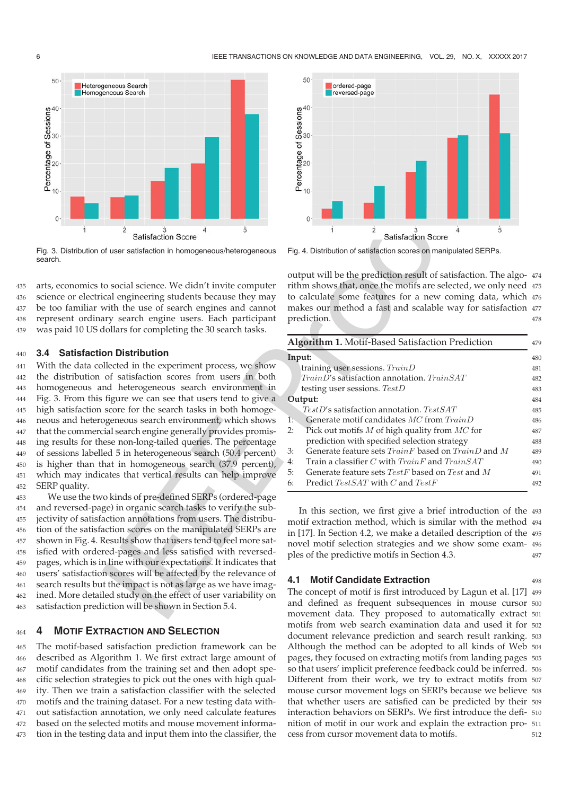

Fig. 3. Distribution of user satisfaction in homogeneous/heterogeneous search.

 arts, economics to social science. We didn't invite computer science or electrical engineering students because they may be too familiar with the use of search engines and cannot represent ordinary search engine users. Each participant was paid 10 US dollars for completing the 30 search tasks.

#### <sup>440</sup> 3.4 Satisfaction Distribution

 With the data collected in the experiment process, we show the distribution of satisfaction scores from users in both homogeneous and heterogeneous search environment in Fig. 3. From this figure we can see that users tend to give a high satisfaction score for the search tasks in both homoge- neous and heterogeneous search environment, which shows that the commercial search engine generally provides promis- ing results for these non-long-tailed queries. The percentage of sessions labelled 5 in heterogeneous search (50.4 percent) is higher than that in homogeneous search (37.9 percent), which may indicates that vertical results can help improve SERP quality.

 We use the two kinds of pre-defined SERPs (ordered-page and reversed-page) in organic search tasks to verify the sub- jectivity of satisfaction annotations from users. The distribu- tion of the satisfaction scores on the manipulated SERPs are shown in Fig. 4. Results show that users tend to feel more sat- isfied with ordered-pages and less satisfied with reversed- pages, which is in line with our expectations. It indicates that users' satisfaction scores will be affected by the relevance of search results but the impact is not as large as we have imag- ined. More detailed study on the effect of user variability on satisfaction prediction will be shown in Section 5.4.

## 464 4 MOTIF EXTRACTION AND SELECTION

 The motif-based satisfaction prediction framework can be described as Algorithm 1. We first extract large amount of motif candidates from the training set and then adopt spe- cific selection strategies to pick out the ones with high qual- ity. Then we train a satisfaction classifier with the selected motifs and the training dataset. For a new testing data with- out satisfaction annotation, we only need calculate features based on the selected motifs and mouse movement informa-tion in the testing data and input them into the classifier, the



Fig. 4. Distribution of satisfaction scores on manipulated SERPs.

|                                                                                                                                                                                                                                                                                                                                                                                                                                                                                                                          | $Percentza$ <sub>10</sub> .                                                                                                                                                                                                                                                                                                                                                                                                                                                                                                                                      |                                                                                         |
|--------------------------------------------------------------------------------------------------------------------------------------------------------------------------------------------------------------------------------------------------------------------------------------------------------------------------------------------------------------------------------------------------------------------------------------------------------------------------------------------------------------------------|------------------------------------------------------------------------------------------------------------------------------------------------------------------------------------------------------------------------------------------------------------------------------------------------------------------------------------------------------------------------------------------------------------------------------------------------------------------------------------------------------------------------------------------------------------------|-----------------------------------------------------------------------------------------|
| $\dot{2}$<br>5<br>4<br><b>Satisfaction Score</b>                                                                                                                                                                                                                                                                                                                                                                                                                                                                         | 3<br>5<br><b>Satisfaction Score</b>                                                                                                                                                                                                                                                                                                                                                                                                                                                                                                                              |                                                                                         |
| of user satisfaction in homogeneous/heterogeneous                                                                                                                                                                                                                                                                                                                                                                                                                                                                        | Fig. 4. Distribution of satisfaction scores on manipulated SERPs.                                                                                                                                                                                                                                                                                                                                                                                                                                                                                                |                                                                                         |
| to social science. We didn't invite computer<br>ical engineering students because they may<br>with the use of search engines and cannot<br>ary search engine users. Each participant<br>dollars for completing the 30 search tasks.                                                                                                                                                                                                                                                                                      | output will be the prediction result of satisfaction. The algo- 474<br>rithm shows that, once the motifs are selected, we only need 475<br>to calculate some features for a new coming data, which 476<br>makes our method a fast and scalable way for satisfaction 477<br>prediction.                                                                                                                                                                                                                                                                           | 478                                                                                     |
| on Distribution                                                                                                                                                                                                                                                                                                                                                                                                                                                                                                          | Algorithm 1. Motif-Based Satisfaction Prediction                                                                                                                                                                                                                                                                                                                                                                                                                                                                                                                 | 479                                                                                     |
| llected in the experiment process, we show<br>of satisfaction scores from users in both<br>nd heterogeneous search environment in<br>figure we can see that users tend to give a<br>score for the search tasks in both homoge-<br>ogeneous search environment, which shows<br>cial search engine generally provides promis-<br>lese non-long-tailed queries. The percentage<br>led 5 in heterogeneous search (50.4 percent)<br>hat in homogeneous search (37.9 percent),<br>cates that vertical results can help improve | Input:<br>training user sessions. TrainD<br>TrainD's satisfaction annotation. TrainSAT<br>testing user sessions. TestD<br>Output:<br>TestD's satisfaction annotation. TestSAT<br>Generate motif candidates MC from TrainD<br>1:<br>2:<br>Pick out motifs $M$ of high quality from $MC$ for<br>prediction with specified selection strategy<br>Generate feature sets TrainF based on TrainD and M<br>3:<br>Train a classifier C with TrainF and TrainSAT<br>4:<br>5:<br>Generate feature sets TestF based on Test and M<br>Predict TestSAT with C and TestF<br>6: | 480<br>481<br>482<br>483<br>484<br>485<br>486<br>487<br>488<br>489<br>490<br>491<br>492 |
| o kinds of pre-defined SERPs (ordered-page<br>ge) in organic search tasks to verify the sub-<br>action annotations from users. The distribu-<br>action scores on the manipulated SERPs are<br>Results show that users tend to feel more sat-<br>red-pages and less satisfied with reversed-<br>n line with our expectations. It indicates that<br>n scores will be affected by the relevance of<br>t the impact is not as large as we have imag-                                                                         | In this section, we first give a brief introduction of the 493<br>motif extraction method, which is similar with the method 494<br>in [17]. In Section 4.2, we make a detailed description of the 495<br>novel motif selection strategies and we show some exam- 496<br>ples of the predictive motifs in Section 4.3.<br><b>Motif Candidate Extraction</b><br>4.1<br>The concept of motif is first introduced by Lagun et al. [17] 499                                                                                                                           | 497<br>498                                                                              |
| led study on the effect of user variability on<br>iction will be shown in Section 5.4.                                                                                                                                                                                                                                                                                                                                                                                                                                   | and defined as frequent subsequences in mouse cursor 500<br>movement data. They proposed to automatically extract 501                                                                                                                                                                                                                                                                                                                                                                                                                                            |                                                                                         |

#### **4.1 Motif Candidate Extraction** 498

The concept of motif is first introduced by Lagun et al. [17] 499 and defined as frequent subsequences in mouse cursor 500 movement data. They proposed to automatically extract 501 motifs from web search examination data and used it for 502 document relevance prediction and search result ranking. 503 Although the method can be adopted to all kinds of Web 504 pages, they focused on extracting motifs from landing pages 505 so that users' implicit preference feedback could be inferred. 506 Different from their work, we try to extract motifs from 507 mouse cursor movement logs on SERPs because we believe 508 that whether users are satisfied can be predicted by their 509 interaction behaviors on SERPs. We first introduce the defi- 510 nition of motif in our work and explain the extraction pro- 511 cess from cursor movement data to motifs. 512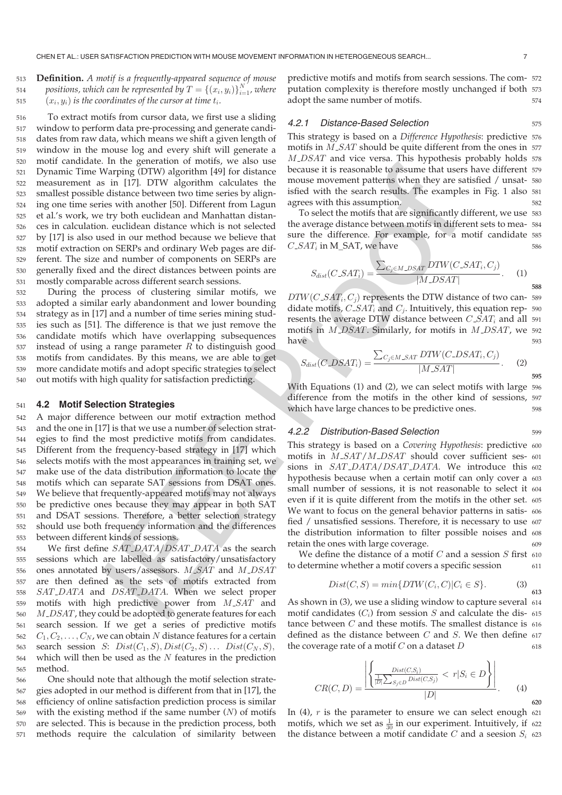<sup>513</sup> Definition. A motif is a frequently-appeared sequence of mouse 514 positions, which can be represented by  $T = \{(x_i, y_i)\}_{i=1}^N$ , where 515  $(x_i, y_i)$  is the coordinates of the cursor at time  $t_i$ .

 To extract motifs from cursor data, we first use a sliding window to perform data pre-processing and generate candi- dates from raw data, which means we shift a given length of window in the mouse log and every shift will generate a motif candidate. In the generation of motifs, we also use Dynamic Time Warping (DTW) algorithm [49] for distance measurement as in [17]. DTW algorithm calculates the smallest possible distance between two time series by align- ing one time series with another [50]. Different from Lagun et al.'s work, we try both euclidean and Manhattan distan- ces in calculation. euclidean distance which is not selected by [17] is also used in our method because we believe that motif extraction on SERPs and ordinary Web pages are dif- ferent. The size and number of components on SERPs are generally fixed and the direct distances between points are mostly comparable across different search sessions.

 During the process of clustering similar motifs, we adopted a similar early abandonment and lower bounding strategy as in [17] and a number of time series mining stud- ies such as [51]. The difference is that we just remove the candidate motifs which have overlapping subsequences instead of using a range parameter R to distinguish good motifs from candidates. By this means, we are able to get more candidate motifs and adopt specific strategies to select out motifs with high quality for satisfaction predicting.

#### 541 4.2 Motif Selection Strategies

In the generation of menosity was been used in sects the research is resolved to assume that uses<br>in the simulation of menosity and the simulation of menosity of the simulation of menosity in the system of the coamples is A major difference between our motif extraction method and the one in [17] is that we use a number of selection strat- egies to find the most predictive motifs from candidates. Different from the frequency-based strategy in [17] which selects motifs with the most appearances in training set, we make use of the data distribution information to locate the motifs which can separate SAT sessions from DSAT ones. We believe that frequently-appeared motifs may not always be predictive ones because they may appear in both SAT and DSAT sessions. Therefore, a better selection strategy should use both frequency information and the differences between different kinds of sessions.

554 We first define *SAT\_DATA/DSAT\_DATA* as the search 555 sessions which are labelled as satisfactory/unsatisfactory 556 ones annotated by users/assessors. M\_SAT and M\_DSAT 557 are then defined as the sets of motifs extracted from 558 SAT\_DATA and DSAT\_DATA. When we select proper 559 motifs with high predictive power from M\_SAT and 560 M DSAT, they could be adopted to generate features for each 561 search session. If we get a series of predictive motifs 562  $C_1, C_2, \ldots, C_N$ , we can obtain N distance features for a certain 563 search session S:  $Dist(C_1, S), Dist(C_2, S) \dots Dist(C_N, S),$  $564$  which will then be used as the N features in the prediction 565 method.

 One should note that although the motif selection strate- gies adopted in our method is different from that in [17], the efficiency of online satisfaction prediction process is similar 569 with the existing method if the same number  $(N)$  of motifs are selected. This is because in the prediction process, both methods require the calculation of similarity between predictive motifs and motifs from search sessions. The com- 572 putation complexity is therefore mostly unchanged if both 573 adopt the same number of motifs. 574

#### **4.2.1 Distance-Based Selection 575 Exercise 2.2.1 Distance-Based Selection**

This strategy is based on a Difference Hypothesis: predictive 576 motifs in *M\_SAT* should be quite different from the ones in 577 M DSAT and vice versa. This hypothesis probably holds <sup>578</sup> because it is reasonable to assume that users have different 579 mouse movement patterns when they are satisfied / unsat- 580 isfied with the search results. The examples in Fig. 1 also 581 agrees with this assumption. 582

To select the motifs that are significantly different, we use 583 the average distance between motifs in different sets to mea- 584 sure the difference. For example, for a motif candidate 585  $C\_SAT_i$  in M\_SAT, we have  $586$ 

$$
S_{dist}(C\_\mathit{SAT}_i) = \frac{\sum_{C_j \in M\_\mathit{DSAT}}DTW(C\_\mathit{SAT}_i, C_j)}{|M\_\mathit{DSAT}|}.\tag{1}
$$

 $DTW(C\_SAT_i, C_i)$  represents the DTW distance of two can- 589 didate motifs,  $C\_SAT_i$  and  $C_i$ . Intuitively, this equation rep- 590 resents the average DTW distance between  $C\_SAT_i$  and all 591 motifs in  $M$  DSAT. Similarly, for motifs in  $M$  DSAT, we 592 have 593

$$
S_{dist}(C\_\text{DSAT}_i) = \frac{\sum_{C_j \in M\_\text{SAT}} DTW(C\_\text{DSAT}_i, C_j)}{|M\_\text{SAT}|}.
$$
 (2)

With Equations (1) and (2), we can select motifs with large 596 difference from the motifs in the other kind of sessions, 597 which have large chances to be predictive ones.  $598$ 

#### 4.2.2 Distribution-Based Selection 599

This strategy is based on a Covering Hypothesis: predictive 600 motifs in  $M\_SAT/M\_DSAT$  should cover sufficient ses- 601 sions in SAT\_DATA/DSAT\_DATA. We introduce this 602 hypothesis because when a certain motif can only cover a 603 small number of sessions, it is not reasonable to select it 604 even if it is quite different from the motifs in the other set. 605 We want to focus on the general behavior patterns in satis-606 fied / unsatisfied sessions. Therefore, it is necessary to use 607 the distribution information to filter possible noises and 608 retain the ones with large coverage.  $609$ 

We define the distance of a motif  $C$  and a session  $S$  first  $610$ to determine whether a motif covers a specific session 611

$$
Dist(C, S) = min\{DTW(C_i, C)|C_i \in S\}.
$$
\n(3)

As shown in (3), we use a sliding window to capture several 614 motif candidates  $(C_i)$  from session S and calculate the dis- 615 tance between  $C$  and these motifs. The smallest distance is  $616$ defined as the distance between  $C$  and  $S$ . We then define  $617$ the coverage rate of a motif  $C$  on a dataset  $D$  618

$$
CR(C, D) = \frac{\left| \left\{ \frac{Dist(C, S_i)}{|D| \sum_{S_j \in D} Dist(C, S_j)} < r | S_i \in D \right\} \right|}{|D|}.
$$
\n(4)

In (4),  $r$  is the parameter to ensure we can select enough  $621$ motifs, which we set as  $\frac{1}{30}$  in our experiment. Intuitively, if 622 the distance between a motif candidate C and a seesion  $S_i$  623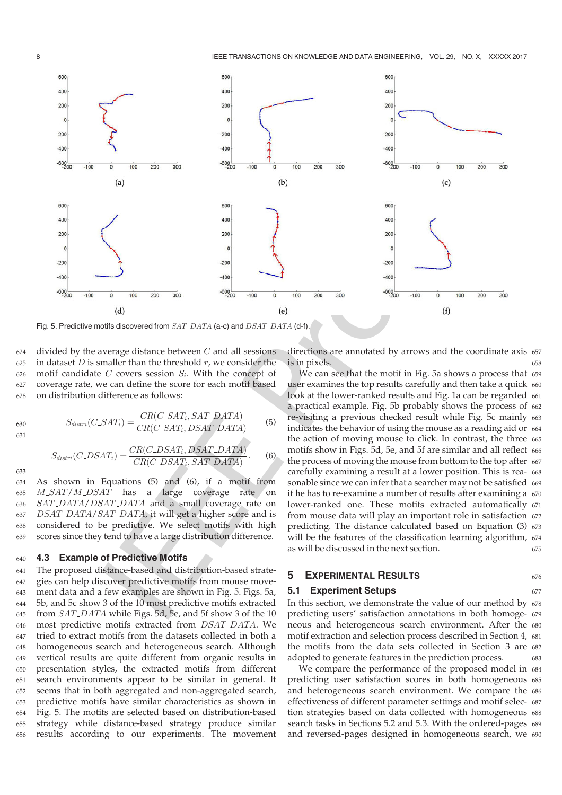

Fig. 5. Predictive motifs discovered from SAT\_DATA (a-c) and DSAT\_DATA (d-f).

 $624$  divided by the average distance between C and all sessions 625 in dataset  $D$  is smaller than the threshold  $r$ , we consider the 626 motif candidate C covers session  $S_i$ . With the concept of 627 coverage rate, we can define the score for each motif based 628 on distribution difference as follows:

$$
S_{distri}(C\_SAT_i) = \frac{CR(C\_SAT_i, SAT\_DATA)}{CR(C\_SAT_i, DSAT\_DATA)}
$$
(5)

631

633

$$
S_{distri}(C\_{DSAT_i}) = \frac{CR(C\_{DSAT_i}, DSAT\_{DATA})}{CR(C\_{DSAT_i}, SAT\_{DATA})}.
$$
 (6)

 As shown in Equations (5) and (6), if a motif from M SAT/M DSAT has a large coverage rate on SAT DATA/DSAT DATA and a small coverage rate on DSAT DATA/SAT DATA, it will get a higher score and is considered to be predictive. We select motifs with high scores since they tend to have a large distribution difference.

#### <sup>640</sup> 4.3 Example of Predictive Motifs

 The proposed distance-based and distribution-based strate- gies can help discover predictive motifs from mouse move- ment data and a few examples are shown in Fig. 5. Figs. 5a, 5b, and 5c show 3 of the 10 most predictive motifs extracted 645 from SAT\_DATA while Figs. 5d, 5e, and 5f show 3 of the 10 most predictive motifs extracted from DSAT DATA. We tried to extract motifs from the datasets collected in both a homogeneous search and heterogeneous search. Although vertical results are quite different from organic results in presentation styles, the extracted motifs from different search environments appear to be similar in general. It seems that in both aggregated and non-aggregated search, predictive motifs have similar characteristics as shown in Fig. 5. The motifs are selected based on distribution-based strategy while distance-based strategy produce similar results according to our experiments. The movement directions are annotated by arrows and the coordinate axis 657 is in pixels. 658

We can see that the motif in Fig. 5a shows a process that 659 user examines the top results carefully and then take a quick 660 look at the lower-ranked results and Fig. 1a can be regarded 661 a practical example. Fig. 5b probably shows the process of 662 re-visiting a previous checked result while Fig. 5c mainly 663 indicates the behavior of using the mouse as a reading aid or 664 the action of moving mouse to click. In contrast, the three 665 motifs show in Figs. 5d, 5e, and 5f are similar and all reflect 666 the process of moving the mouse from bottom to the top after 667 carefully examining a result at a lower position. This is rea- 668 sonable since we can infer that a searcher may not be satisfied 669 if he has to re-examine a number of results after examining a 670 lower-ranked one. These motifs extracted automatically 671 from mouse data will play an important role in satisfaction 672 predicting. The distance calculated based on Equation (3) 673 will be the features of the classification learning algorithm, 674 as will be discussed in the next section. 675

## **5 EXPERIMENTAL RESULTS** 676

#### **5.1 Experiment Setups 677**

In this section, we demonstrate the value of our method by 678 predicting users' satisfaction annotations in both homoge- 679 neous and heterogeneous search environment. After the 680 motif extraction and selection process described in Section 4, 681 the motifs from the data sets collected in Section 3 are 682 adopted to generate features in the prediction process. 683

We compare the performance of the proposed model in 684 predicting user satisfaction scores in both homogeneous 685 and heterogeneous search environment. We compare the 686 effectiveness of different parameter settings and motif selec- 687 tion strategies based on data collected with homogeneous 688 search tasks in Sections 5.2 and 5.3. With the ordered-pages 689 and reversed-pages designed in homogeneous search, we 690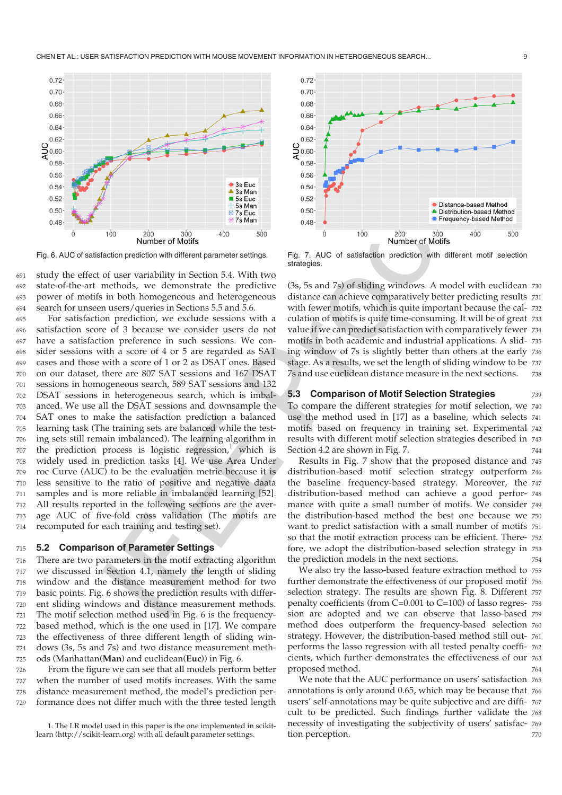

 study the effect of user variability in Section 5.4. With two state-of-the-art methods, we demonstrate the predictive power of motifs in both homogeneous and heterogeneous search for unseen users/queries in Sections 5.5 and 5.6.

**Example 1988**<br> **Example 1988**<br> **Example 1988**<br> **Example 1989**<br> **Example 1989**<br> **Example 1989**<br> **Example 1989**<br> **Example 1989**<br> **Example 1989**<br> **Example 1999**<br> **Example 1999**<br> **Example 1999**<br> **Example 1999**<br> **Example 1999**  For satisfaction prediction, we exclude sessions with a satisfaction score of 3 because we consider users do not have a satisfaction preference in such sessions. We con- sider sessions with a score of 4 or 5 are regarded as SAT cases and those with a score of 1 or 2 as DSAT ones. Based on our dataset, there are 807 SAT sessions and 167 DSAT sessions in homogeneous search, 589 SAT sessions and 132 DSAT sessions in heterogeneous search, which is imbal- anced. We use all the DSAT sessions and downsample the SAT ones to make the satisfaction prediction a balanced learning task (The training sets are balanced while the test- ing sets still remain imbalanced). The learning algorithm in the prediction process is logistic regression,<sup>1</sup> which is widely used in prediction tasks [4]. We use Area Under roc Curve (AUC) to be the evaluation metric because it is less sensitive to the ratio of positive and negative daata samples and is more reliable in imbalanced learning [52]. All results reported in the following sections are the aver- age AUC of five-fold cross validation (The motifs are recomputed for each training and testing set).

#### <sup>715</sup> 5.2 Comparison of Parameter Settings

 There are two parameters in the motif extracting algorithm we discussed in Section 4.1, namely the length of sliding window and the distance measurement method for two basic points. Fig. 6 shows the prediction results with differ- ent sliding windows and distance measurement methods. The motif selection method used in Fig. 6 is the frequency- based method, which is the one used in [17]. We compare the effectiveness of three different length of sliding win- dows (3s, 5s and 7s) and two distance measurement meth-ods (Manhattan(Man) and euclidean(Euc)) in Fig. 6.

 From the figure we can see that all models perform better when the number of used motifs increases. With the same distance measurement method, the model's prediction per-formance does not differ much with the three tested length



Fig. 6. AUC of satisfaction prediction with different parameter settings. Fig. 7. AUC of satisfaction prediction with different motif selection strategies

(3s, 5s and 7s) of sliding windows. A model with euclidean 730 distance can achieve comparatively better predicting results 731 with fewer motifs, which is quite important because the cal- 732 culation of motifs is quite time-consuming. It will be of great 733 value if we can predict satisfaction with comparatively fewer 734 motifs in both academic and industrial applications. A slid- 735 ing window of 7s is slightly better than others at the early 736 stage. As a results, we set the length of sliding window to be 737 7s and use euclidean distance measure in the next sections. 738

#### **5.3 Comparison of Motif Selection Strategies** 739

To compare the different strategies for motif selection, we 740 use the method used in [17] as a baseline, which selects 741 motifs based on frequency in training set. Experimental 742 results with different motif selection strategies described in 743 Section 4.2 are shown in Fig. 7. 744

Results in Fig. 7 show that the proposed distance and 745 distribution-based motif selection strategy outperform 746 the baseline frequency-based strategy. Moreover, the 747 distribution-based method can achieve a good perfor- 748 mance with quite a small number of motifs. We consider 749 the distribution-based method the best one because we 750 want to predict satisfaction with a small number of motifs 751 so that the motif extraction process can be efficient. There- 752 fore, we adopt the distribution-based selection strategy in 753 the prediction models in the next sections.  $754$ 

We also try the lasso-based feature extraction method to 755 further demonstrate the effectiveness of our proposed motif 756 selection strategy. The results are shown Fig. 8. Different 757 penalty coefficients (from C=0.001 to C=100) of lasso regres- 758 sion are adopted and we can observe that lasso-based 759 method does outperform the frequency-based selection 760 strategy. However, the distribution-based method still out- 761 performs the lasso regression with all tested penalty coeffi- 762 cients, which further demonstrates the effectiveness of our 763 proposed method. The state of  $\frac{764}{200}$ 

We note that the AUC performance on users' satisfaction 765 annotations is only around 0.65, which may be because that 766 users' self-annotations may be quite subjective and are diffi- 767 cult to be predicted. Such findings further validate the 768 necessity of investigating the subjectivity of users' satisfac- 769 tion perception. 770

<sup>1.</sup> The LR model used in this paper is the one implemented in scikitlearn (http://scikit-learn.org) with all default parameter settings.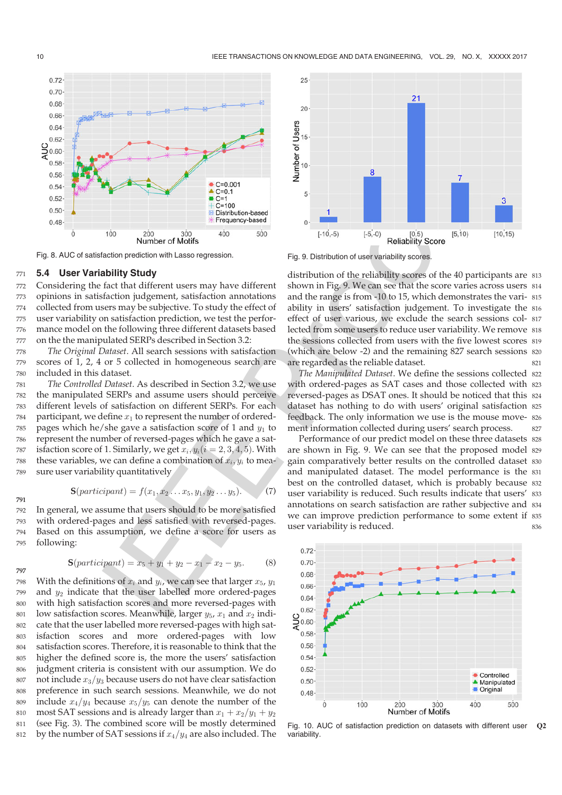0.64  $0.62$ Al IC 0.60 0.58 0.56 0.54  $0.52$  $0.50$ 0.48 ó

Fig. 8. AUC of satisfaction prediction with Lasso regression. Fig. 9. Distribution of user variability scores

## <sup>771</sup> 5.4 User Variability Study

 Considering the fact that different users may have different opinions in satisfaction judgement, satisfaction annotations collected from users may be subjective. To study the effect of user variability on satisfaction prediction, we test the perfor- mance model on the following three different datasets based on the the manipulated SERPs described in Section 3.2:

778 The Original Dataset. All search sessions with satisfaction 779 scores of 1, 2, 4 or 5 collected in homogeneous search are 780 included in this dataset.

781 The Controlled Dataset. As described in Section 3.2, we use 782 the manipulated SERPs and assume users should perceive 783 different levels of satisfaction on different SERPs. For each 784 participant, we define  $x_1$  to represent the number of ordered-785 pages which he/she gave a satisfaction score of 1 and  $y_1$  to 786 represent the number of reversed-pages which he gave a sat-787 isfaction score of 1. Similarly, we get  $x_i$ ,  $y_i$  ( $i = 2, 3, 4, 5$ ). With <br>788 these variables, we can define a combination of  $x_i$ ,  $y_i$  to meathese variables, we can define a combination of  $x_i, y_i$  to mea-789 sure user variability quantitatively

$$
\mathbf{S}(participant) = f(x_1, x_2 \dots x_5, y_1, y_2 \dots y_5). \tag{7}
$$

 In general, we assume that users should to be more satisfied with ordered-pages and less satisfied with reversed-pages. Based on this assumption, we define a score for users as following:

$$
\mathbf{S}(participant) = x_5 + y_1 + y_2 - x_1 - x_2 - y_5. \tag{8}
$$

798 With the definitions of  $x_i$  and  $y_i$ , we can see that larger  $x_5$ ,  $y_1$  $799$  and  $y_2$  indicate that the user labelled more ordered-pages 800 with high satisfaction scores and more reversed-pages with 801 low satisfaction scores. Meanwhile, larger  $y_5$ ,  $x_1$  and  $x_2$  indi-802 cate that the user labelled more reversed-pages with high sat-803 isfaction scores and more ordered-pages with low 804 satisfaction scores. Therefore, it is reasonable to think that the 805 higher the defined score is, the more the users' satisfaction 806 judgment criteria is consistent with our assumption. We do 807 not include  $x_3/y_3$  because users do not have clear satisfaction 808 preference in such search sessions. Meanwhile, we do not 809 include  $x_4/y_4$  because  $x_5/y_5$  can denote the number of the 810 most SAT sessions and is already larger than  $x_1 + x_2/y_1 + y_2$ <br>811 (see Fig. 3). The combined score will be mostly determined (see Fig. 3). The combined score will be mostly determined 812 by the number of SAT sessions if  $x_4/y_4$  are also included. The



**EVALUATION CONTROLL CONSULTER CONSULTER CONSULTER CONSULTER CONSULTER CONSULTER CONSULTER CONSULTER CONSULTER CONSULTER CONSULTER CONSULTER CONSULTER CONSULTER CONSULTER CONSULTER CONSULTER CONSULTER CONSULTER CONSULTER** distribution of the reliability scores of the 40 participants are 813 shown in Fig. 9. We can see that the score varies across users 814 and the range is from -10 to 15, which demonstrates the vari- 815 ability in users' satisfaction judgement. To investigate the 816 effect of user various, we exclude the search sessions col- 817 lected from some users to reduce user variability. We remove 818 the sessions collected from users with the five lowest scores 819 (which are below -2) and the remaining 827 search sessions 820 are regarded as the reliable dataset. 821

The Manipulated Dataset. We define the sessions collected 822 with ordered-pages as SAT cases and those collected with 823 reversed-pages as DSAT ones. It should be noticed that this 824 dataset has nothing to do with users' original satisfaction 825 feedback. The only information we use is the mouse move- 826 ment information collected during users' search process. 827

Performance of our predict model on these three datasets 828 are shown in Fig. 9. We can see that the proposed model 829 gain comparatively better results on the controlled dataset 830 and manipulated dataset. The model performance is the 831 best on the controlled dataset, which is probably because 832 user variability is reduced. Such results indicate that users' 833 annotations on search satisfaction are rather subjective and 834 we can improve prediction performance to some extent if 835 user variability is reduced. 836



Fig. 10. AUC of satisfaction prediction on datasets with different user Q2 variability.

0.72

0.70

0.68

0.66

791

797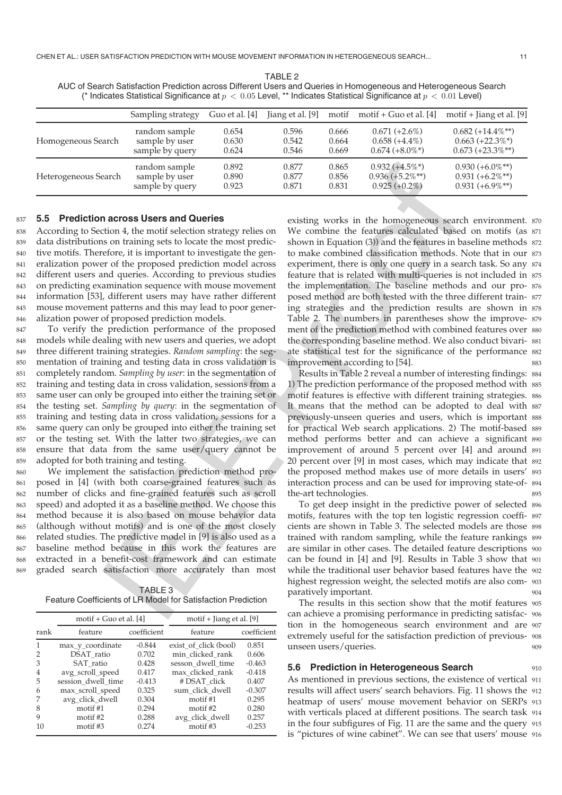CHEN ET AL.: USER SATISFACTION PREDICTION WITH MOUSE MOVEMENT INFORMATION IN HETEROGENEOUS SEARCH... 11

TABLE 2 AUC of Search Satisfaction Prediction across Different Users and Queries in Homogeneous and Heterogeneous Search (\* Indicates Statistical Significance at  $p < 0.05$  Level, \*\* Indicates Statistical Significance at  $p < 0.01$  Level)

|                      | Sampling strategy | Guo et al. [4] | Jiang et al. [9] |       | motif $\text{motif} + \text{Guo et al.} [4]$ | motif + Jiang et al. $[9]$ |
|----------------------|-------------------|----------------|------------------|-------|----------------------------------------------|----------------------------|
| Homogeneous Search   | random sample     | 0.654          | 0.596            | 0.666 | $0.671 (+2.6\%)$                             | $0.682 (+14.4\%^{**})$     |
|                      | sample by user    | 0.630          | 0.542            | 0.664 | $0.658 (+4.4\%)$                             | $0.663 (+22.3\%)$          |
|                      | sample by query   | 0.624          | 0.546            | 0.669 | $0.674 (+8.0\%*)$                            | $0.673 (+23.3\%^{**})$     |
| Heterogeneous Search | random sample     | 0.892          | 0.877            | 0.865 | $0.932 (+4.5\%)$                             | $0.930 (+6.0\%^{**})$      |
|                      | sample by user    | 0.890          | 0.877            | 0.856 | $0.936 (+5.2\%^{**})$                        | $0.931 (+6.2\%^{**})$      |
|                      | sample by query   | 0.923          | 0.871            | 0.831 | $0.925 (+0.2\%)$                             | $0.931 (+6.9\%^{**})$      |

837 5.5 Prediction across Users and Queries

 According to Section 4, the motif selection strategy relies on data distributions on training sets to locate the most predic- tive motifs. Therefore, it is important to investigate the gen- eralization power of the proposed prediction model across different users and queries. According to previous studies on predicting examination sequence with mouse movement information [53], different users may have rather different mouse movement patterns and this may lead to poor gener-alization power of proposed prediction models.

 To verify the prediction performance of the proposed models while dealing with new users and queries, we adopt three different training strategies. Random sampling: the seg- mentation of training and testing data in cross validation is completely random. Sampling by user: in the segmentation of training and testing data in cross validation, sessions from a same user can only be grouped into either the training set or the testing set. Sampling by query: in the segmentation of training and testing data in cross validation, sessions for a same query can only be grouped into either the training set or the testing set. With the latter two strategies, we can ensure that data from the same user/query cannot be adopted for both training and testing.

 We implement the satisfaction prediction method pro- posed in [4] (with both coarse-grained features such as number of clicks and fine-grained features such as scroll speed) and adopted it as a baseline method. We choose this method because it is also based on mouse behavior data (although without motifs) and is one of the most closely related studies. The predictive model in [9] is also used as a baseline method because in this work the features are extracted in a benefit-cost framework and can estimate graded search satisfaction more accurately than most

| TABLE 3                                                      |
|--------------------------------------------------------------|
| Feature Coefficients of LR Model for Satisfaction Prediction |

|      | motif + Guo et al. $[4]$ |             | motif + Jiang et al. [9] |             |  |
|------|--------------------------|-------------|--------------------------|-------------|--|
| rank | feature                  | coefficient | feature                  | coefficient |  |
| 1    | max_y_coordinate         | $-0.844$    | exist of click (bool)    | 0.851       |  |
|      | DSAT ratio               | 0.702       | min clicked rank         | 0.606       |  |
| 3    | SAT ratio                | 0.428       | sesson dwell time        | $-0.463$    |  |
| 4    | avg scroll speed         | 0.417       | max clicked rank         | $-0.418$    |  |
| 5    | session dwell time       | $-0.413$    | #DSAT click              | 0.407       |  |
| 6    | max_scroll_speed         | 0.325       | sum click dwell          | $-0.307$    |  |
|      | avg click dwell          | 0.304       | motif #1                 | 0.295       |  |
| 8    | motif #1                 | 0.294       | motif #2                 | 0.280       |  |
| 9    | motif #2                 | 0.288       | avg_click_dwell          | 0.257       |  |
| 10   | motif #3                 | 0.274       | motif #3                 | $-0.253$    |  |

manno sample by user  $10.892$  ( $0.877$  0.886 0.932( $0.877$  0.886 0.932( $0.45\%$  0.992) 0.87<br>
sample by usery 0.990 0.8771 0.887 0.936( $0.45\%$ ) 0.92<br>
sample by usery 0.990 0.8771 0.887 0.936( $0.45\%$ ) 0.92<br>
sample by quer existing works in the homogeneous search environment. 870 We combine the features calculated based on motifs (as 871 shown in Equation (3)) and the features in baseline methods  $872$ to make combined classification methods. Note that in our 873 experiment, there is only one query in a search task. So any 874 feature that is related with multi-queries is not included in 875 the implementation. The baseline methods and our pro- 876 posed method are both tested with the three different train- 877 ing strategies and the prediction results are shown in 878 Table 2. The numbers in parentheses show the improve- 879 ment of the prediction method with combined features over 880 the corresponding baseline method. We also conduct bivari- 881 ate statistical test for the significance of the performance 882 improvement according to [54]. 883

Results in Table 2 reveal a number of interesting findings: 884 1) The prediction performance of the proposed method with 885 motif features is effective with different training strategies. 886 It means that the method can be adopted to deal with 887 previously-unseen queries and users, which is important 888 for practical Web search applications. 2) The motif-based 889 method performs better and can achieve a significant 890 improvement of around 5 percent over [4] and around 891 20 percent over [9] in most cases, which may indicate that 892 the proposed method makes use of more details in users' 893 interaction process and can be used for improving state-of- 894 the-art technologies. 895

To get deep insight in the predictive power of selected 896 motifs, features with the top ten logistic regression coeffi- 897 cients are shown in Table 3. The selected models are those 898 trained with random sampling, while the feature rankings 899 are similar in other cases. The detailed feature descriptions 900 can be found in [4] and [9]. Results in Table 3 show that 901 while the traditional user behavior based features have the 902 highest regression weight, the selected motifs are also com- 903 paratively important. 904

The results in this section show that the motif features 905 can achieve a promising performance in predicting satisfac- 906 tion in the homogeneous search environment and are 907 extremely useful for the satisfaction prediction of previous- 908 unseen users/queries. 909

## **5.6 Prediction in Heterogeneous Search** 910

As mentioned in previous sections, the existence of vertical 911 results will affect users' search behaviors. Fig. 11 shows the 912 heatmap of users' mouse movement behavior on SERPs 913 with verticals placed at different positions. The search task 914 in the four subfigures of Fig. 11 are the same and the query 915 is "pictures of wine cabinet". We can see that users' mouse 916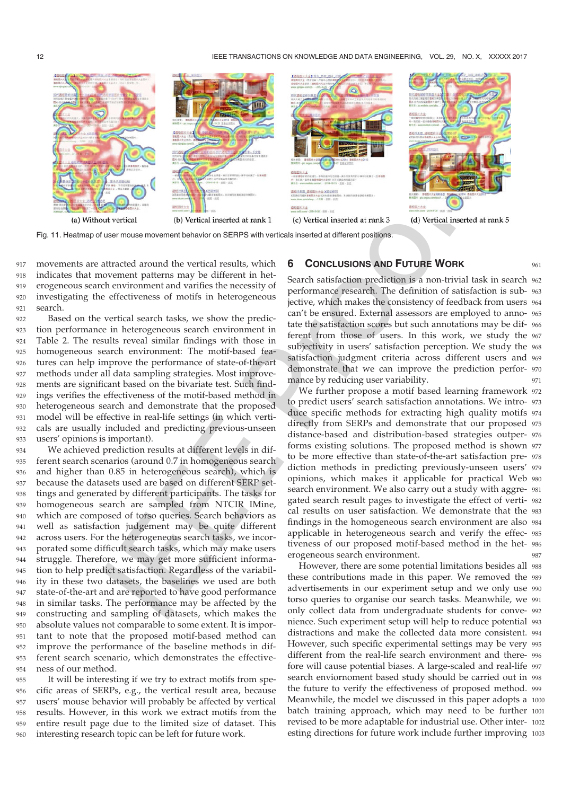

Fig. 11. Heatmap of user mouse movement behavior on SERPS with verticals inserted at different positions.

 movements are attracted around the vertical results, which indicates that movement patterns may be different in het- erogeneous search environment and varifies the necessity of investigating the effectiveness of motifs in heterogeneous 921 search.

 Based on the vertical search tasks, we show the predic- tion performance in heterogeneous search environment in Table 2. The results reveal similar findings with those in homogeneous search environment: The motif-based fea- tures can help improve the performance of state-of-the-art methods under all data sampling strategies. Most improve- ments are significant based on the bivariate test. Such find- ings verifies the effectiveness of the motif-based method in heterogeneous search and demonstrate that the proposed model will be effective in real-life settings (in which verti- cals are usually included and predicting previous-unseen users' opinions is important).

 We achieved prediction results at different levels in dif- ferent search scenarios (around 0.7 in homogeneous search and higher than 0.85 in heterogeneous search), which is 937 because the datasets used are based on different SERP set- tings and generated by different participants. The tasks for homogeneous search are sampled from NTCIR IMine, which are composed of torso queries. Search behaviors as well as satisfaction judgement may be quite different across users. For the heterogeneous search tasks, we incor- porated some difficult search tasks, which may make users struggle. Therefore, we may get more sufficient informa- tion to help predict satisfaction. Regardless of the variabil- ity in these two datasets, the baselines we used are both state-of-the-art and are reported to have good performance in similar tasks. The performance may be affected by the constructing and sampling of datasets, which makes the absolute values not comparable to some extent. It is impor- tant to note that the proposed motif-based method can improve the performance of the baseline methods in dif- ferent search scenario, which demonstrates the effective-ness of our method.

 It will be interesting if we try to extract motifs from spe- cific areas of SERPs, e.g., the vertical result area, because users' mouse behavior will probably be affected by vertical results. However, in this work we extract motifs from the entire result page due to the limited size of dataset. This interesting research topic can be left for future work.

## **6 CONCLUSIONS AND FUTURE WORK 961**

Search satisfaction prediction is a non-trivial task in search 962 performance research. The definition of satisfaction is sub- 963 jective, which makes the consistency of feedback from users 964 can't be ensured. External assessors are employed to anno- 965 tate the satisfaction scores but such annotations may be dif- 966 ferent from those of users. In this work, we study the 967 subjectivity in users' satisfaction perception. We study the 968 satisfaction judgment criteria across different users and 969 demonstrate that we can improve the prediction perfor- 970 mance by reducing user variability. 971

The contract of the vertical method in the set of the control in the control in the control in the method and the vertical method in the vertical method in the vertical method in the vertical method in the vertical method We further propose a motif based learning framework 972 to predict users' search satisfaction annotations. We intro- 973 duce specific methods for extracting high quality motifs 974 directly from SERPs and demonstrate that our proposed 975 distance-based and distribution-based strategies outper- 976 forms existing solutions. The proposed method is shown 977 to be more effective than state-of-the-art satisfaction pre- 978 diction methods in predicting previously-unseen users' 979 opinions, which makes it applicable for practical Web 980 search environment. We also carry out a study with aggre- 981 gated search result pages to investigate the effect of verti- 982 cal results on user satisfaction. We demonstrate that the 983 findings in the homogeneous search environment are also 984 applicable in heterogeneous search and verify the effec- 985 tiveness of our proposed motif-based method in the het- 986 erogeneous search environment. 987

However, there are some potential limitations besides all 988 these contributions made in this paper. We removed the 989 advertisements in our experiment setup and we only use 990 torso queries to organise our search tasks. Meanwhile, we 991 only collect data from undergraduate students for conve- 992 nience. Such experiment setup will help to reduce potential 993 distractions and make the collected data more consistent. 994 However, such specific experimental settings may be very 995 different from the real-life search environment and there- 996 fore will cause potential biases. A large-scaled and real-life 997 search enviornoment based study should be carried out in 998 the future to verify the effectiveness of proposed method. 999 Meanwhile, the model we discussed in this paper adopts a 1000 batch training approach, which may need to be further 1001 revised to be more adaptable for industrial use. Other inter- 1002 esting directions for future work include further improving 1003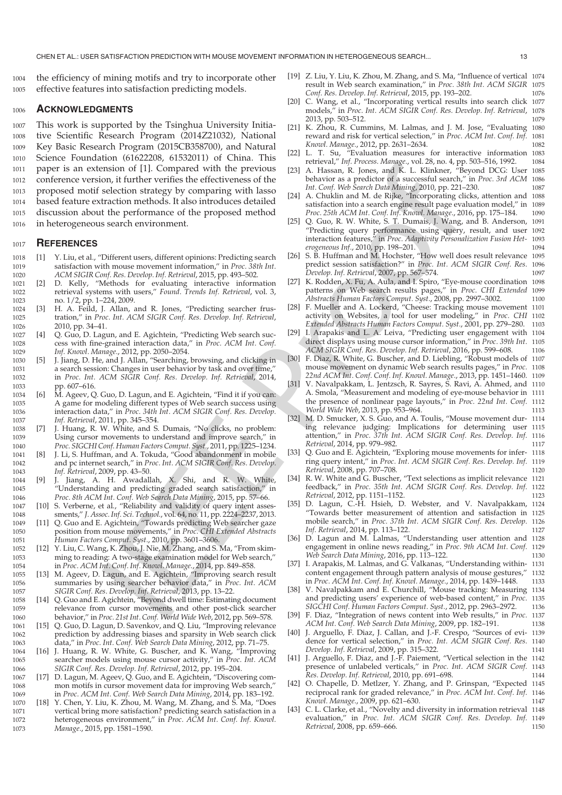1004 the efficiency of mining motifs and try to incorporate other 1005 effective features into satisfaction predicting models.

#### <sup>1006</sup> ACKNOWLEDGMENTS

main of III Compared with the previous 121 Markets, Margaret and the proposition of III Compared with the proposition of the method of the street of the proposition and the method in the street of the proposition street i This work is supported by the Tsinghua University Initia- tive Scientific Research Program (2014Z21032), National Key Basic Research Program (2015CB358700), and Natural Science Foundation (61622208, 61532011) of China. This paper is an extension of [1]. Compared with the previous conference version, it further verifies the effectiveness of the proposed motif selection strategy by comparing with lasso based feature extraction methods. It also introduces detailed discussion about the performance of the proposed method in heterogeneous search environment.

#### 1017 **REFERENCES**

- 1018 [1] Y. Liu, et al., "Different users, different opinions: Predicting search 1019 satisfaction with mouse movement information," in Proc. 38th Int. 1020 ACM SIGIR Conf. Res. Develop. Inf. Retrieval, 2015, pp. 493–502.
- 1021 [2] D. Kelly, "Methods for evaluating interactive information 1022 retrieval systems with users," Found. Trends Inf. Retrieval, vol. 3, 1023 no. 1/2, pp. 1–224, 2009.
- 1024 [3] H. A. Feild, J. Allan, and R. Jones, "Predicting searcher frus-<br>1025 tration." in Proc. Int. ACM SIGIR Conf. Res. Develop. Inf. Retrieval. 1025 tration," in Proc. Int. ACM SIGIR Conf. Res. Develop. Inf. Retrieval,<br>1026 2010. pp. 34–41. 2010, pp. 34–41.<br>[4] O. Guo, D. Lagu
- 1027 [4] Q. Guo, D. Lagun, and E. Agichtein, "Predicting Web search suc-1028 cess with fine-grained interaction data," in Proc. ACM Int. Conf. 1029 Inf. Knowl. Manage., 2012, pp. 2050–2054.
- 1030 [5] J. Jiang, D. He, and J. Allan, "Searching, browsing, and clicking in 1031 a search session: Changes in user behavior by task and over time," 1032 in Proc. Int. ACM SIGIR Conf. Res. Develop. Inf. Retrieval, 2014, 1033 pp. 607–616.
- 1034 [6] M. Ageev, Q. Guo, D. Lagun, and E. Agichtein, "Find it if you can: 1035 A game for modeling different types of Web search success using 1036 interaction data," in Proc. 34th Int. ACM SIGIR Conf. Res. Develop.<br>1037 Inf. Retrieval. 2011. pp. 345–354.
- 1037 Inf. Retrieval, 2011, pp. 345–354.<br>1038 [7] J. Huang, R. W. White, and S. 1038 [7] J. Huang, R. W. White, and S. Dumais, "No clicks, no problem: Using cursor movements to understand and improve search," in 1040 Proc. SIGCHI Conf. Human Factors Comput. Syst., 2011, pp. 1225–1234.
- 1041 [8] J. Li, S. Huffman, and A. Tokuda, "Good abandonment in mobile 1042 and pc internet search," in Proc. Int. ACM SIGIR Conf. Res. Develop. 1043 *Inf. Retrieval, 2009, pp. 43–50.*<br>1044 [9] J. Jiang, A. H. Awadall
- 1044 [9] J. Jiang, A. H. Awadallah, X. Shi, and R. W. White, 1045 "Understanding and predicting graded search satisfaction," in 1046 Proc. 8th ACM Int. Conf. Web Search Data Mining, 2015, pp. 57–66.<br>1047 [10] S. Verberne, et al., "Reliability and validity of query intent asset
- 1017 [10] S. Verberne, et al., "Reliability and validity of query intent assessured to a sments." I. Assoc. Inf. Sci. Technol.. vol. 64. no. 11. pp. 2224–2237. 2013. sments," J. Assoc. Inf. Sci. Technol., vol. 64, no. 11, pp. 2224-2237, 2013.
- 1049 [11] Q. Guo and E. Agichtein, "Towards predicting Web searcher gaze<br>1050 position from mouse movements," in Proc. CHI Extended Abstracts 1050 position from mouse movements," in Proc. CHI Extended Abstracts<br>1051 Human Factors Comput. Syst., 2010, pp. 3601–3606. 1051 Human Factors Comput. Syst., 2010, pp. 3601–3606.
- 1052 [12] Y. Liu, C. Wang, K. Zhou, J. Nie, M. Zhang, and S. Ma, "From skim-1053 ming to reading: A two-stage examination model for Web search," 1054 in Proc. ACM Int. Conf. Inf. Knowl. Manage., 2014, pp. 849–858.
- 1055 [13] M. Ageev, D. Lagun, and E. Agichtein, "Improving search result summaries by using searcher behavior data." in *Proc. Int. ACM* summaries by using searcher behavior data," in Proc. Int. ACM 1057 SIGIR Conf. Res. Develop. Inf. Retrieval, 2013, pp. 13–22.
- 1058 [14] Q. Guo and E. Agichtein, "Beyond dwell time: Estimating document 1059 relevance from cursor movements and other post-click searcher<br>1060 behavior." in Proc. 21st Int. Conf. World Wide Web. 2012, pp. 569–578. 1060 behavior," in Proc. 21st Int. Conf. World Wide Web, 2012, pp. 569–578.<br>1061 [15] O. Guo. D. Lagun. D. Savenkov. and O. Liu. "Improving relevance
- Q. Guo, D. Lagun, D. Savenkov, and Q. Liu, "Improving relevance 1062 prediction by addressing biases and sparsity in Web search click 1063 data," in Proc. Int. Conf. Web Search Data Mining, 2012, pp. 71–75.
- 1064 [16] J. Huang, R. W. White, G. Buscher, and K. Wang, "Improving 1065 searcher models using mouse cursor activity," in Proc. Int. ACM 1066 SIGIR Conf. Res. Develop. Inf. Retrieval, 2012, pp. 195–204.
- 1067 [17] D. Lagun, M. Ageev, Q. Guo, and E. Agichtein, "Discovering com-1068 mon motifs in cursor movement data for improving Web search,"<br>1069 in Proc. ACM Int. Conf. Web Search Data Mining. 2014. pp. 183–192. 1069 in Proc. ACM Int. Conf. Web Search Data Mining, 2014, pp. 183–192.
- [18] Y. Chen, Y. Liu, K. Zhou, M. Wang, M. Zhang, and  $\hat{S}$ . Ma, "Does 1071 vertical bring more satisfaction? predicting search satisfaction in a<br>1072 heterogeneous environment." in Proc. ACM Int. Conf. Inf. Knowl. 1072 heterogeneous environment," in Proc. ACM Int. Conf. Inf. Knowl.<br>1073 Manage., 2015. pp. 1581–1590. Manage., 2015, pp. 1581-1590.
- [19] Z. Liu, Y. Liu, K. Zhou, M. Zhang, and S. Ma, "Influence of vertical 1074 result in Web search examination," in Proc. 38th Int. ACM SIGIR 1075 Conf. Res. Develop. Inf. Retrieval, 2015, pp. 193–202. 1076
- [20] C. Wang, et al., "Incorporating vertical results into search click 1077 models," in Proc. Int. ACM SIGIR Conf. Res. Develop. Inf. Retrieval, 1078 2013, pp. 503–512. 1079
- [21] K. Zhou, R. Cummins, M. Lalmas, and J. M. Jose, "Evaluating 1080 reward and risk for vertical selection," in Proc. ACM Int. Conf. Inf. 1081 Knowl. Manage., 2012, pp. 2631–2634. 1082
- [22] L. T. Su, "Evaluation measures for interactive information 1083 retrieval," Inf. Process. Manage., vol. 28, no. 4, pp. 503–516, 1992. 1084
- [23] A. Hassan, R. Jones, and K. L. Klinkner, "Beyond DCG: User 1085 behavior as a predictor of a successful search," in Proc. 3rd ACM 1086 Int. Conf. Web Search Data Mining, 2010, pp. 221–230. 1087<br>A. Chuklin and M. de Rijke. "Incorporating clicks, attention and 1088
- [24] A. Chuklin and M. de Rijke, "Incorporating clicks, attention and satisfaction into a search engine result page evaluation model," in 1089 Proc. 25th ACM Int. Conf. Inf. Knowl. Manage., 2016, pp. 175–184. 1090
- [25] Q. Guo, R. W. White, S. T. Dumais, J. Wang, and B. Anderson, 1091 "Predicting query performance using query, result, and user 1092 interaction features," in Proc. Adaptivity Personalization Fusion Het- 1093 erogeneous Inf., 2010, pp. 198–201. 1094
- [26] S. B. Huffman and M. Hochster, "How well does result relevance 1095 predict session satisfaction?" in *Proc. Int. ACM SIGIR Conf. Res.* 1096 predict session satisfaction?" in Proc. Int. ACM SIGIR Conf. Res. 1096 Develop. Inf. Retrieval, 2007, pp. 567-574.
- [27] K. Rodden, X. Fu, A. Aula, and I. Spiro, "Eye-mouse coordination 1098 patterns on Web search results pages," in Proc. CHI Extended 1099 Abstracts Human Factors Comput. Syst., 2008, pp. 2997–3002. 1100
- [28] F. Mueller and A. Lockerd, "Cheese: Tracking mouse movement 1101 activity on Websites, a tool for user modeling," in Proc. CHI 1102 Extended Abstracts Human Factors Comput. Syst., 2001, pp. 279–280. 1103
- [29] I. Arapakis and L. A. Leiva, "Predicting user engagement with 1104 direct displays using mouse cursor information," in Proc. 39th Int. 1105 ACM SIGIR Conf. Res. Develop. Inf. Retrieval, 2016, pp. 599-608. 1106
- [30] F. Diaz, R. White, G. Buscher, and D. Liebling, "Robust models of 1107 mouse movement on dynamic Web search results pages," in Proc. 1108 22nd ACM Int. Conf. Conf. Inf. Knowl. Manage., 2013, pp. 1451-1460. 1109 22nd ACM Int. Conf. Conf. Inf. Knowl. Manage., 2013, pp. 1451-1460.
- [31] V. Navalpakkam, L. Jentzsch, R. Sayres, S. Ravi, A. Ahmed, and 1110 A. Smola, "Measurement and modeling of eye-mouse behavior in 1111 the presence of nonlinear page layouts," in Proc. 22nd Int. Conf. 1112 World Wide Web, 2013, pp. 953–964.
- [32] M. D. Smucker, X. S. Guo, and A. Toulis, "Mouse movement dur- 1114 ing relevance judging: Implications for determining user 1115 attention," in Proc. 37th Int. ACM SIGIR Conf. Res. Develop. Inf. 1116 Retrieval, 2014, pp. 979–982. 1117
- [33] Q. Guo and E. Agichtein, "Exploring mouse movements for infer- 1118 ring query intent," in Proc. Int. ACM SIGIR Conf. Res. Develop. Inf. 1119 Retrieval, 2008, pp. 707–708. 1120
- [34] R. W. White and G. Buscher, "Text selections as implicit relevance 1121 feedback," in Proc. 35th Int. ACM SIGIR Conf. Res. Develop. Inf. 1122 Retrieval, 2012, pp. 1151-1152.
- [35] D. Lagun, C.-H. Hsieh, D. Webster, and V. Navalpakkam, 1124 "Towards better measurement of attention and satisfaction in 1125 mobile search," in Proc. 37th Int. ACM SIGIR Conf. Res. Develop. 1126 Inf. Retrieval, 2014, pp. 113–122. 1127
- [36] D. Lagun and M. Lalmas, "Understanding user attention and 1128 engagement in online news reading," in Proc. 9th ACM Int. Conf. 1129 Web Search Data Mining, 2016, pp. 113–122. 1130
- [37] I. Arapakis, M. Lalmas, and G. Valkanas, "Understanding within- 1131 content engagement through pattern analysis of mouse gestures," in Proc. ACM Int. Conf. Inf. Knowl. Manage., 2014, pp. 1439-1448. 1133
- [38] V. Navalpakkam and E. Churchill, "Mouse tracking: Measuring 1134 and predicting users' experience of web-based content," in Proc. 1135 SIGCHI Conf. Human Factors Comput. Syst., 2012, pp. 2963-2972. 1136
- [39] F. Diaz, "Integration of news content into Web results," in Proc. 1137 ACM Int. Conf. Web Search Data Mining, 2009, pp. 182-191. 1138
- [40] J. Arguello, F. Diaz, J. Callan, and J.-F. Crespo, "Sources of evi- 1139 dence for vertical selection," in Proc. Int. ACM SIGIR Conf. Res. 1140 Develop. Inf. Retrieval, 2009, pp. 315–322. 1141
- [41] J. Arguello, F. Diaz, and J.-F. Paiement, "Vertical selection in the 1142 presence of unlabeled verticals," in *Proc. Int. ACM SIGIR Conf.* 1143<br>*Res. Develop. Inf. Retrieval.* 2010. pp. 691–698. [1144] Res. Develop. Inf. Retrieval, 2010, pp. 691-698.
- [42] O. Chapelle, D. Metlzer, Y. Zhang, and P. Grinspan, "Expected 1145 reciprocal rank for graded relevance," in Proc. ACM Int. Conf. Inf. 1146 Knowl. Manage., 2009, pp. 621–630.
- [43] C. L. Clarke, et al., "Novelty and diversity in information retrieval 1148 evaluation," in Proc. Int. ACM SIGIR Conf. Res. Develop. Inf. 1149 Retrieval, 2008, pp. 659–666. 1150